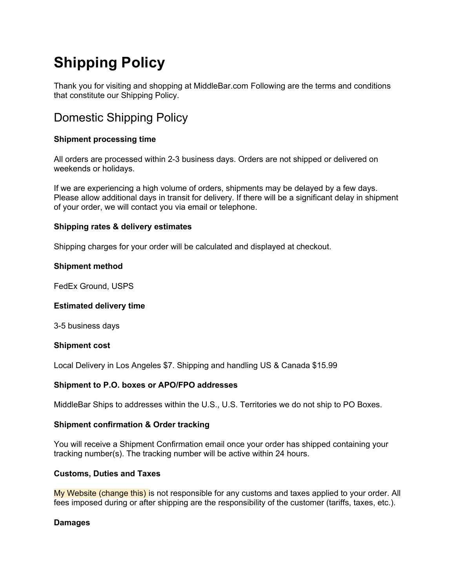# **Shipping Policy**

Thank you for visiting and shopping at MiddleBar.com Following are the terms and conditions that constitute our Shipping Policy.

## Domestic Shipping Policy

### **Shipment processing time**

All orders are processed within 2-3 business days. Orders are not shipped or delivered on weekends or holidays.

If we are experiencing a high volume of orders, shipments may be delayed by a few days. Please allow additional days in transit for delivery. If there will be a significant delay in shipment of your order, we will contact you via email or telephone.

#### **Shipping rates & delivery estimates**

Shipping charges for your order will be calculated and displayed at checkout.

#### **Shipment method**

FedEx Ground, USPS

#### **Estimated delivery time**

3-5 business days

#### **Shipment cost**

Local Delivery in Los Angeles \$7. Shipping and handling US & Canada \$15.99

#### **Shipment to P.O. boxes or APO/FPO addresses**

MiddleBar Ships to addresses within the U.S., U.S. Territories we do not ship to PO Boxes.

#### **Shipment confirmation & Order tracking**

You will receive a Shipment Confirmation email once your order has shipped containing your tracking number(s). The tracking number will be active within 24 hours.

#### **Customs, Duties and Taxes**

My Website (change this) is not responsible for any customs and taxes applied to your order. All fees imposed during or after shipping are the responsibility of the customer (tariffs, taxes, etc.).

#### **Damages**